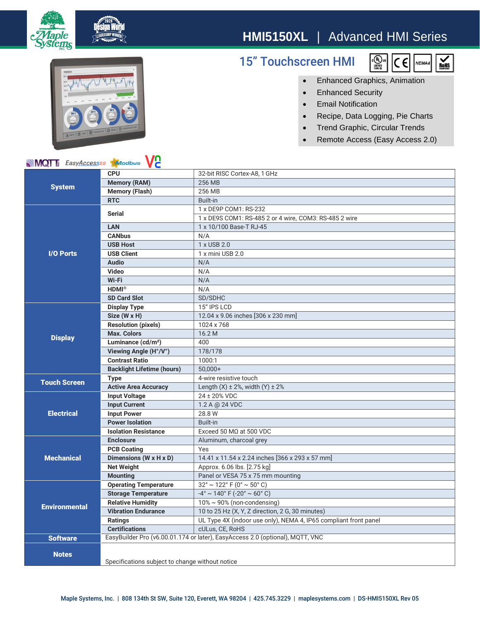

## **HMI5150XL** | Advanced HMI Series

15" Touchscreen HMI





## • Enhanced Graphics, Animation

- Enhanced Security
- Email Notification
- Recipe, Data Logging, Pie Charts
- Trend Graphic, Circular Trends
- Remote Access (Easy Access 2.0)

## **MQT** EasyAccess20 Maodbus VC

| <b>NIVIQI</b> EasyAccess <sup>20</sup><br><b>XI</b> JOADUS<br>VC |                                                                               |                                                                    |
|------------------------------------------------------------------|-------------------------------------------------------------------------------|--------------------------------------------------------------------|
| <b>System</b>                                                    | <b>CPU</b>                                                                    | 32-bit RISC Cortex-A8, 1 GHz                                       |
|                                                                  | <b>Memory (RAM)</b>                                                           | 256 MB                                                             |
|                                                                  | <b>Memory (Flash)</b>                                                         | 256 MB                                                             |
|                                                                  | <b>RTC</b>                                                                    | <b>Built-in</b>                                                    |
| <b>I/O Ports</b>                                                 | <b>Serial</b>                                                                 | 1 x DE9P COM1: RS-232                                              |
|                                                                  |                                                                               | 1 x DE9S COM1: RS-485 2 or 4 wire, COM3: RS-485 2 wire             |
|                                                                  | <b>LAN</b>                                                                    | 1 x 10/100 Base-T RJ-45                                            |
|                                                                  | <b>CANbus</b>                                                                 | N/A                                                                |
|                                                                  | <b>USB Host</b>                                                               | 1 x USB 2.0                                                        |
|                                                                  | <b>USB Client</b>                                                             | 1 x mini USB 2.0                                                   |
|                                                                  | <b>Audio</b>                                                                  | N/A                                                                |
|                                                                  | Video                                                                         | N/A                                                                |
|                                                                  | Wi-Fi                                                                         | N/A                                                                |
|                                                                  | <b>HDMI®</b>                                                                  | N/A                                                                |
|                                                                  | <b>SD Card Slot</b>                                                           | SD/SDHC                                                            |
| <b>Display</b>                                                   | <b>Display Type</b>                                                           | 15" IPS LCD                                                        |
|                                                                  | Size (W x H)                                                                  | 12.04 x 9.06 inches [306 x 230 mm]                                 |
|                                                                  | <b>Resolution (pixels)</b>                                                    | 1024 x 768                                                         |
|                                                                  | <b>Max. Colors</b>                                                            | 16.2 M                                                             |
|                                                                  | Luminance (cd/m <sup>2</sup> )                                                | 400                                                                |
|                                                                  | Viewing Angle (H°/V°)                                                         | 178/178                                                            |
|                                                                  | <b>Contrast Ratio</b>                                                         | 1000:1                                                             |
|                                                                  | <b>Backlight Lifetime (hours)</b>                                             | $50,000+$                                                          |
| <b>Touch Screen</b>                                              | <b>Type</b>                                                                   | 4-wire resistive touch                                             |
|                                                                  | <b>Active Area Accuracy</b>                                                   | Length $(X) \pm 2$ %, width $(Y) \pm 2$ %                          |
| <b>Electrical</b>                                                | <b>Input Voltage</b>                                                          | 24 ± 20% VDC                                                       |
|                                                                  | <b>Input Current</b>                                                          | 1.2 A @ 24 VDC                                                     |
|                                                                  | <b>Input Power</b>                                                            | 28.8 W                                                             |
|                                                                  | <b>Power Isolation</b>                                                        | Built-in                                                           |
|                                                                  | <b>Isolation Resistance</b>                                                   | Exceed 50 $M\Omega$ at 500 VDC                                     |
| <b>Mechanical</b>                                                | <b>Enclosure</b>                                                              | Aluminum, charcoal grey                                            |
|                                                                  | <b>PCB Coating</b>                                                            | Yes                                                                |
|                                                                  | Dimensions (W x H x D)                                                        | 14.41 x 11.54 x 2.24 inches [366 x 293 x 57 mm]                    |
|                                                                  | <b>Net Weight</b>                                                             | Approx. 6.06 lbs. [2.75 kg]                                        |
|                                                                  | <b>Mounting</b>                                                               | Panel or VESA 75 x 75 mm mounting                                  |
| <b>Environmental</b>                                             | <b>Operating Temperature</b>                                                  | $32^{\circ} \sim 122^{\circ}$ F (0° ~ 50° C)                       |
|                                                                  | <b>Storage Temperature</b>                                                    | $-4^{\circ} \sim 140^{\circ}$ F ( $-20^{\circ} \sim 60^{\circ}$ C) |
|                                                                  | <b>Relative Humidity</b>                                                      | $10\% \sim 90\%$ (non-condensing)                                  |
|                                                                  | <b>Vibration Endurance</b>                                                    | 10 to 25 Hz (X, Y, Z direction, 2 G, 30 minutes)                   |
|                                                                  | <b>Ratings</b>                                                                | UL Type 4X (indoor use only), NEMA 4, IP65 compliant front panel   |
|                                                                  | <b>Certifications</b>                                                         | cULus, CE, RoHS                                                    |
| <b>Software</b>                                                  | EasyBuilder Pro (v6.00.01.174 or later), EasyAccess 2.0 (optional), MQTT, VNC |                                                                    |
| <b>Notes</b>                                                     |                                                                               |                                                                    |
|                                                                  |                                                                               |                                                                    |
|                                                                  | Specifications subject to change without notice                               |                                                                    |